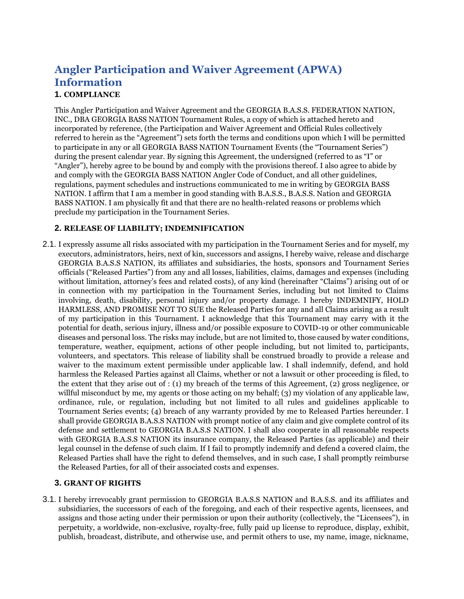# **Angler Participation and Waiver Agreement (APWA) Information**

## **1. COMPLIANCE**

This Angler Participation and Waiver Agreement and the GEORGIA B.A.S.S. FEDERATION NATION, INC., DBA GEORGIA BASS NATION Tournament Rules, a copy of which is attached hereto and incorporated by reference, (the Participation and Waiver Agreement and Official Rules collectively referred to herein as the "Agreement") sets forth the terms and conditions upon which I will be permitted to participate in any or all GEORGIA BASS NATION Tournament Events (the "Tournament Series") during the present calendar year. By signing this Agreement, the undersigned (referred to as "I" or "Angler"), hereby agree to be bound by and comply with the provisions thereof. I also agree to abide by and comply with the GEORGIA BASS NATION Angler Code of Conduct, and all other guidelines, regulations, payment schedules and instructions communicated to me in writing by GEORGIA BASS NATION. I affirm that I am a member in good standing with B.A.S.S., B.A.S.S. Nation and GEORGIA BASS NATION. I am physically fit and that there are no health-related reasons or problems which preclude my participation in the Tournament Series.

### **2. RELEASE OF LIABILITY; INDEMNIFICATION**

2.1. I expressly assume all risks associated with my participation in the Tournament Series and for myself, my executors, administrators, heirs, next of kin, successors and assigns, I hereby waive, release and discharge GEORGIA B.A.S.S NATION, its affiliates and subsidiaries, the hosts, sponsors and Tournament Series officials ("Released Parties") from any and all losses, liabilities, claims, damages and expenses (including without limitation, attorney's fees and related costs), of any kind (hereinafter "Claims") arising out of or in connection with my participation in the Tournament Series, including but not limited to Claims involving, death, disability, personal injury and/or property damage. I hereby INDEMNIFY, HOLD HARMLESS, AND PROMISE NOT TO SUE the Released Parties for any and all Claims arising as a result of my participation in this Tournament. I acknowledge that this Tournament may carry with it the potential for death, serious injury, illness and/or possible exposure to COVID-19 or other communicable diseases and personal loss. The risks may include, but are not limited to, those caused by water conditions, temperature, weather, equipment, actions of other people including, but not limited to, participants, volunteers, and spectators. This release of liability shall be construed broadly to provide a release and waiver to the maximum extent permissible under applicable law. I shall indemnify, defend, and hold harmless the Released Parties against all Claims, whether or not a lawsuit or other proceeding is filed, to the extent that they arise out of : (1) my breach of the terms of this Agreement, (2) gross negligence, or willful misconduct by me, my agents or those acting on my behalf; (3) my violation of any applicable law, ordinance, rule, or regulation, including but not limited to all rules and guidelines applicable to Tournament Series events; (4) breach of any warranty provided by me to Released Parties hereunder. I shall provide GEORGIA B.A.S.S NATION with prompt notice of any claim and give complete control of its defense and settlement to GEORGIA B.A.S.S NATION. I shall also cooperate in all reasonable respects with GEORGIA B.A.S.S NATION its insurance company, the Released Parties (as applicable) and their legal counsel in the defense of such claim. If I fail to promptly indemnify and defend a covered claim, the Released Parties shall have the right to defend themselves, and in such case, I shall promptly reimburse the Released Parties, for all of their associated costs and expenses.

#### **3. GRANT OF RIGHTS**

3.1. I hereby irrevocably grant permission to GEORGIA B.A.S.S NATION and B.A.S.S. and its affiliates and subsidiaries, the successors of each of the foregoing, and each of their respective agents, licensees, and assigns and those acting under their permission or upon their authority (collectively, the "Licensees"), in perpetuity, a worldwide, non-exclusive, royalty-free, fully paid up license to reproduce, display, exhibit, publish, broadcast, distribute, and otherwise use, and permit others to use, my name, image, nickname,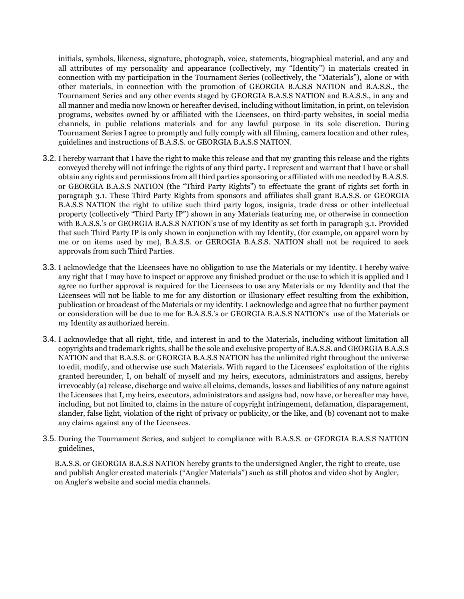initials, symbols, likeness, signature, photograph, voice, statements, biographical material, and any and all attributes of my personality and appearance (collectively, my "Identity") in materials created in connection with my participation in the Tournament Series (collectively, the "Materials"), alone or with other materials, in connection with the promotion of GEORGIA B.A.S.S NATION and B.A.S.S., the Tournament Series and any other events staged by GEORGIA B.A.S.S NATION and B.A.S.S., in any and all manner and media now known or hereafter devised, including without limitation, in print, on television programs, websites owned by or affiliated with the Licensees, on third-party websites, in social media channels, in public relations materials and for any lawful purpose in its sole discretion. During Tournament Series I agree to promptly and fully comply with all filming, camera location and other rules, guidelines and instructions of B.A.S.S. or GEORGIA B.A.S.S NATION.

- 3.2. I hereby warrant that I have the right to make this release and that my granting this release and the rights conveyed thereby will not infringe the rights of any third party**.** I represent and warrant that I have or shall obtain any rights and permissions from all third parties sponsoring or affiliated with me needed by B.A.S.S. or GEORGIA B.A.S.S NATION (the "Third Party Rights") to effectuate the grant of rights set forth in paragraph 3.1. These Third Party Rights from sponsors and affiliates shall grant B.A.S.S. or GEORGIA B.A.S.S NATION the right to utilize such third party logos, insignia, trade dress or other intellectual property (collectively "Third Party IP") shown in any Materials featuring me, or otherwise in connection with B.A.S.S.'s or GEORGIA B.A.S.S NATION's use of my Identity as set forth in paragraph 3.1. Provided that such Third Party IP is only shown in conjunction with my Identity, (for example, on apparel worn by me or on items used by me), B.A.S.S. or GEROGIA B.A.S.S. NATION shall not be required to seek approvals from such Third Parties.
- 3.3. I acknowledge that the Licensees have no obligation to use the Materials or my Identity. I hereby waive any right that I may have to inspect or approve any finished product or the use to which it is applied and I agree no further approval is required for the Licensees to use any Materials or my Identity and that the Licensees will not be liable to me for any distortion or illusionary effect resulting from the exhibition, publication or broadcast of the Materials or my identity. I acknowledge and agree that no further payment or consideration will be due to me for B.A.S.S.'s or GEORGIA B.A.S.S NATION's use of the Materials or my Identity as authorized herein.
- 3.4. I acknowledge that all right, title, and interest in and to the Materials, including without limitation all copyrights and trademark rights, shall be the sole and exclusive property of B.A.S.S. and GEORGIA B.A.S.S NATION and that B.A.S.S. or GEORGIA B.A.S.S NATION has the unlimited right throughout the universe to edit, modify, and otherwise use such Materials. With regard to the Licensees' exploitation of the rights granted hereunder, I, on behalf of myself and my heirs, executors, administrators and assigns, hereby irrevocably (a) release, discharge and waive all claims, demands, losses and liabilities of any nature against the Licensees that I, my heirs, executors, administrators and assigns had, now have, or hereafter may have, including, but not limited to, claims in the nature of copyright infringement, defamation, disparagement, slander, false light, violation of the right of privacy or publicity, or the like, and (b) covenant not to make any claims against any of the Licensees.
- 3.5. During the Tournament Series, and subject to compliance with B.A.S.S. or GEORGIA B.A.S.S NATION guidelines,

B.A.S.S. or GEORGIA B.A.S.S NATION hereby grants to the undersigned Angler, the right to create, use and publish Angler created materials ("Angler Materials") such as still photos and video shot by Angler, on Angler's website and social media channels.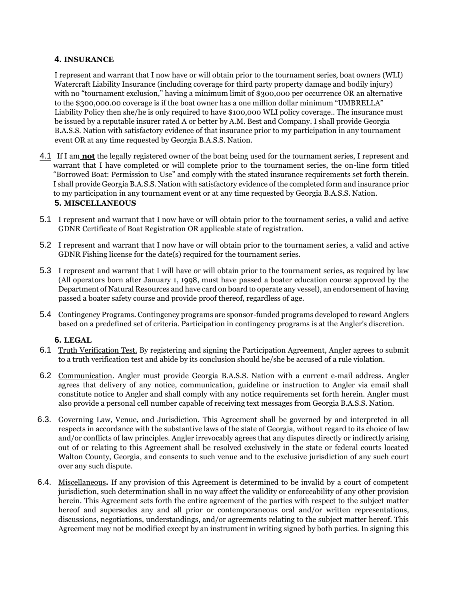#### **4. INSURANCE**

I represent and warrant that I now have or will obtain prior to the tournament series, boat owners (WLI) Watercraft Liability Insurance (including coverage for third party property damage and bodily injury) with no "tournament exclusion," having a minimum limit of \$300,000 per occurrence OR an alternative to the \$300,000.00 coverage is if the boat owner has a one million dollar minimum "UMBRELLA" Liability Policy then she/he is only required to have \$100,000 WLI policy coverage.. The insurance must be issued by a reputable insurer rated A or better by A.M. Best and Company. I shall provide Georgia B.A.S.S. Nation with satisfactory evidence of that insurance prior to my participation in any tournament event OR at any time requested by Georgia B.A.S.S. Nation.

- 4.1 If I am **not** the legally registered owner of the boat being used for the tournament series, I represent and warrant that I have completed or will complete prior to the tournament series, the on-line form titled "Borrowed Boat: Permission to Use" and comply with the stated insurance requirements set forth therein. I shall provide Georgia B.A.S.S. Nation with satisfactory evidence of the completed form and insurance prior to my participation in any tournament event or at any time requested by Georgia B.A.S.S. Nation. **5. MISCELLANEOUS**
- 5.1 I represent and warrant that I now have or will obtain prior to the tournament series, a valid and active GDNR Certificate of Boat Registration OR applicable state of registration.
- 5.2 I represent and warrant that I now have or will obtain prior to the tournament series, a valid and active GDNR Fishing license for the date(s) required for the tournament series.
- 5.3 I represent and warrant that I will have or will obtain prior to the tournament series, as required by law (All operators born after January 1, 1998, must have passed a boater education course approved by the Department of Natural Resources and have card on board to operate any vessel), an endorsement of having passed a boater safety course and provide proof thereof, regardless of age.
- 5.4 Contingency Programs. Contingency programs are sponsor-funded programs developed to reward Anglers based on a predefined set of criteria. Participation in contingency programs is at the Angler's discretion.

#### **6. LEGAL**

- 6.1 Truth Verification Test. By registering and signing the Participation Agreement, Angler agrees to submit to a truth verification test and abide by its conclusion should he/she be accused of a rule violation.
- 6.2 Communication. Angler must provide Georgia B.A.S.S. Nation with a current e-mail address. Angler agrees that delivery of any notice, communication, guideline or instruction to Angler via email shall constitute notice to Angler and shall comply with any notice requirements set forth herein. Angler must also provide a personal cell number capable of receiving text messages from Georgia B.A.S.S. Nation.
- 6.3. Governing Law, Venue, and Jurisdiction. This Agreement shall be governed by and interpreted in all respects in accordance with the substantive laws of the state of Georgia, without regard to its choice of law and/or conflicts of law principles. Angler irrevocably agrees that any disputes directly or indirectly arising out of or relating to this Agreement shall be resolved exclusively in the state or federal courts located Walton County, Georgia, and consents to such venue and to the exclusive jurisdiction of any such court over any such dispute.
- 6.4. Miscellaneous**.** If any provision of this Agreement is determined to be invalid by a court of competent jurisdiction, such determination shall in no way affect the validity or enforceability of any other provision herein. This Agreement sets forth the entire agreement of the parties with respect to the subject matter hereof and supersedes any and all prior or contemporaneous oral and/or written representations, discussions, negotiations, understandings, and/or agreements relating to the subject matter hereof. This Agreement may not be modified except by an instrument in writing signed by both parties. In signing this